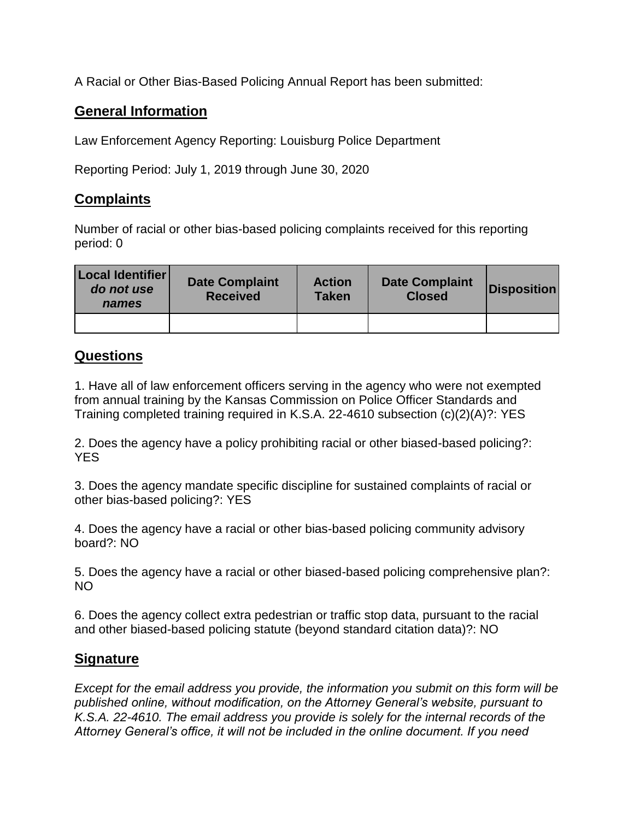A Racial or Other Bias-Based Policing Annual Report has been submitted:

## **General Information**

Law Enforcement Agency Reporting: Louisburg Police Department

Reporting Period: July 1, 2019 through June 30, 2020

## **Complaints**

Number of racial or other bias-based policing complaints received for this reporting period: 0

| Local Identifier<br>do not use<br>names | <b>Date Complaint</b><br><b>Received</b> | <b>Action</b><br><b>Taken</b> | <b>Date Complaint</b><br><b>Closed</b> | <b>Disposition</b> |
|-----------------------------------------|------------------------------------------|-------------------------------|----------------------------------------|--------------------|
|                                         |                                          |                               |                                        |                    |

## **Questions**

1. Have all of law enforcement officers serving in the agency who were not exempted from annual training by the Kansas Commission on Police Officer Standards and Training completed training required in K.S.A. 22-4610 subsection (c)(2)(A)?: YES

2. Does the agency have a policy prohibiting racial or other biased-based policing?: YES

3. Does the agency mandate specific discipline for sustained complaints of racial or other bias-based policing?: YES

4. Does the agency have a racial or other bias-based policing community advisory board?: NO

5. Does the agency have a racial or other biased-based policing comprehensive plan?: NO

6. Does the agency collect extra pedestrian or traffic stop data, pursuant to the racial and other biased-based policing statute (beyond standard citation data)?: NO

## **Signature**

*Except for the email address you provide, the information you submit on this form will be published online, without modification, on the Attorney General's website, pursuant to K.S.A. 22-4610. The email address you provide is solely for the internal records of the Attorney General's office, it will not be included in the online document. If you need*